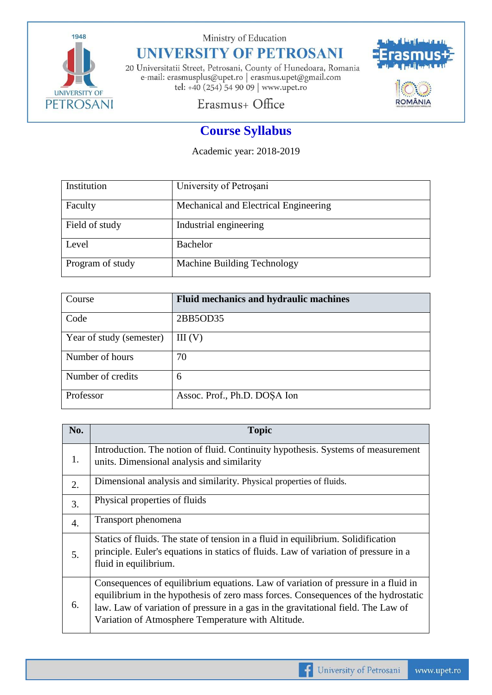

Ministry of Education

## **UNIVERSITY OF PETROSANI**

20 Universitatii Street, Petrosani, County of Hunedoara, Romania e-mail: erasmusplus@upet.ro $\mid$ erasmus.upet@gmail.com tel: +40 (254) 54 90 09 | www.upet.ro



Erasmus+ Office

# **Course Syllabus**

Academic year: 2018-2019

| Institution      | University of Petrosani               |
|------------------|---------------------------------------|
| Faculty          | Mechanical and Electrical Engineering |
| Field of study   | Industrial engineering                |
| Level            | Bachelor                              |
| Program of study | Machine Building Technology           |

| Course                   | <b>Fluid mechanics and hydraulic machines</b> |
|--------------------------|-----------------------------------------------|
| Code                     | 2BB5OD35                                      |
| Year of study (semester) | III(V)                                        |
| Number of hours          | 70                                            |
| Number of credits        | 6                                             |
| Professor                | Assoc. Prof., Ph.D. DOŞA Ion                  |

| No.              | <b>Topic</b>                                                                                                                                                                                                                                                                                                       |
|------------------|--------------------------------------------------------------------------------------------------------------------------------------------------------------------------------------------------------------------------------------------------------------------------------------------------------------------|
| 1.               | Introduction. The notion of fluid. Continuity hypothesis. Systems of measurement<br>units. Dimensional analysis and similarity                                                                                                                                                                                     |
| 2.               | Dimensional analysis and similarity. Physical properties of fluids.                                                                                                                                                                                                                                                |
| 3.               | Physical properties of fluids                                                                                                                                                                                                                                                                                      |
| $\overline{4}$ . | Transport phenomena                                                                                                                                                                                                                                                                                                |
| 5.               | Statics of fluids. The state of tension in a fluid in equilibrium. Solidification<br>principle. Euler's equations in statics of fluids. Law of variation of pressure in a<br>fluid in equilibrium.                                                                                                                 |
| 6.               | Consequences of equilibrium equations. Law of variation of pressure in a fluid in<br>equilibrium in the hypothesis of zero mass forces. Consequences of the hydrostatic<br>law. Law of variation of pressure in a gas in the gravitational field. The Law of<br>Variation of Atmosphere Temperature with Altitude. |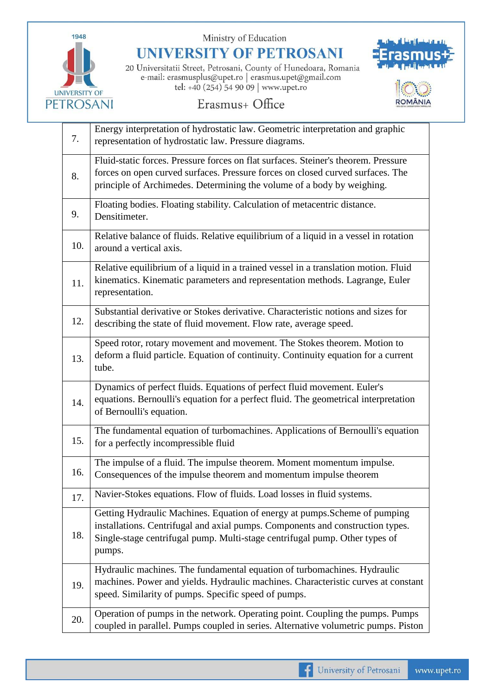

Ministry of Education

**UNIVERSITY OF PETROSANI** 

20 Universitatii Street, Petrosani, County of Hunedoara, Romania e-mail: erasmusplus@upet.ro | erasmus.upet@gmail.com tel: +40 (254) 54 90 09 | www.upet.ro



#### Erasmus+ Office

| 7.  | Energy interpretation of hydrostatic law. Geometric interpretation and graphic<br>representation of hydrostatic law. Pressure diagrams.                                                                                                               |
|-----|-------------------------------------------------------------------------------------------------------------------------------------------------------------------------------------------------------------------------------------------------------|
| 8.  | Fluid-static forces. Pressure forces on flat surfaces. Steiner's theorem. Pressure<br>forces on open curved surfaces. Pressure forces on closed curved surfaces. The<br>principle of Archimedes. Determining the volume of a body by weighing.        |
| 9.  | Floating bodies. Floating stability. Calculation of metacentric distance.<br>Densitimeter.                                                                                                                                                            |
| 10. | Relative balance of fluids. Relative equilibrium of a liquid in a vessel in rotation<br>around a vertical axis.                                                                                                                                       |
| 11. | Relative equilibrium of a liquid in a trained vessel in a translation motion. Fluid<br>kinematics. Kinematic parameters and representation methods. Lagrange, Euler<br>representation.                                                                |
| 12. | Substantial derivative or Stokes derivative. Characteristic notions and sizes for<br>describing the state of fluid movement. Flow rate, average speed.                                                                                                |
| 13. | Speed rotor, rotary movement and movement. The Stokes theorem. Motion to<br>deform a fluid particle. Equation of continuity. Continuity equation for a current<br>tube.                                                                               |
| 14. | Dynamics of perfect fluids. Equations of perfect fluid movement. Euler's<br>equations. Bernoulli's equation for a perfect fluid. The geometrical interpretation<br>of Bernoulli's equation.                                                           |
| 15. | The fundamental equation of turbomachines. Applications of Bernoulli's equation<br>for a perfectly incompressible fluid                                                                                                                               |
| 16. | The impulse of a fluid. The impulse theorem. Moment momentum impulse.<br>Consequences of the impulse theorem and momentum impulse theorem                                                                                                             |
| 17. | Navier-Stokes equations. Flow of fluids. Load losses in fluid systems.                                                                                                                                                                                |
| 18. | Getting Hydraulic Machines. Equation of energy at pumps. Scheme of pumping<br>installations. Centrifugal and axial pumps. Components and construction types.<br>Single-stage centrifugal pump. Multi-stage centrifugal pump. Other types of<br>pumps. |
| 19. | Hydraulic machines. The fundamental equation of turbomachines. Hydraulic<br>machines. Power and yields. Hydraulic machines. Characteristic curves at constant<br>speed. Similarity of pumps. Specific speed of pumps.                                 |
| 20. | Operation of pumps in the network. Operating point. Coupling the pumps. Pumps<br>coupled in parallel. Pumps coupled in series. Alternative volumetric pumps. Piston                                                                                   |